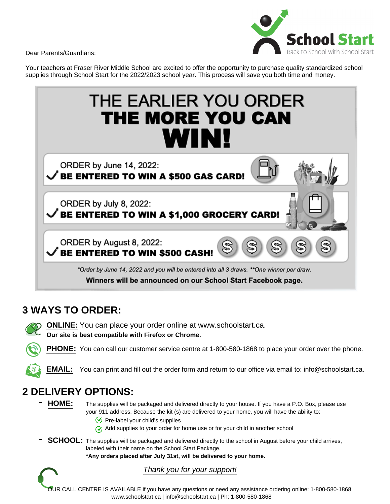Dear Parents/Guardians:



Your teachers at Fraser River Middle School are excited to offer the opportunity to purchase quality standardized school supplies through School Start for the 2022/2023 school year. This process will save you both time and money.



# **3 WAYS TO ORDER:**

**ONLINE:** You can place your order online at www.schoolstart.ca. **Our site is best compatible with Firefox or Chrome.**

**PHONE:** You can call our customer service centre at 1-800-580-1868 to place your order over the phone.

**EMAIL:** You can print and fill out the order form and return to our office via email to: info@schoolstart.ca.

# **2 DELIVERY OPTIONS:**

- HOME: The supplies will be packaged and delivered directly to your house. If you have a P.O. Box, please use your 911 address. Because the kit (s) are delivered to your home, you will have the ability to:
	- $\circledcirc$  Pre-label your child's supplies
	- $\gamma$  Add supplies to your order for home use or for your child in another school

SCHOOL: The supplies will be packaged and delivered directly to the school in August before your child arrives, labeled with their name on the School Start Package.

**\*Any orders placed after July 31st, will be delivered to your home.**

## Thank you for your support!

OUR CALL CENTRE IS AVAILABLE if you have any questions or need any assistance ordering online: 1-800-580-1868 www.schoolstart.ca | info@schoolstart.ca | Ph: 1-800-580-1868